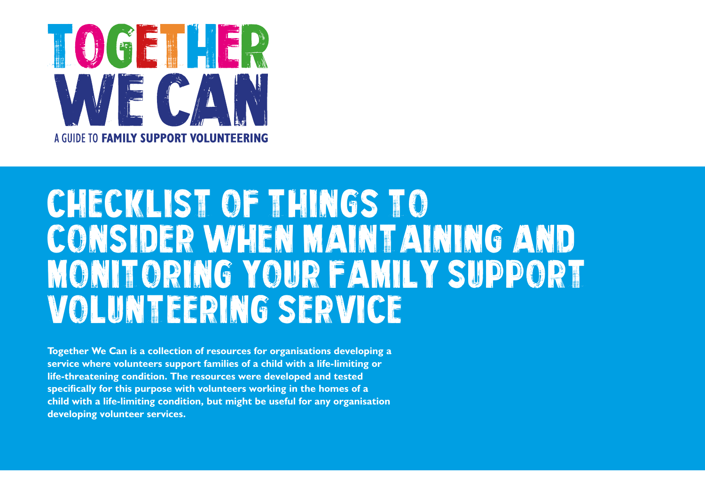

## CHECKLIST OF THINGS TO CONSIDER WHEN MAINTAINING AND MONITORING YOUR FAMILY SUPPORT VOLUNTEERING SERVICE

**Together We Can is a collection of resources for organisations developing a service where volunteers support families of a child with a life-limiting or life-threatening condition. The resources were developed and tested specifically for this purpose with volunteers working in the homes of a child with a life-limiting condition, but might be useful for any organisation developing volunteer services.**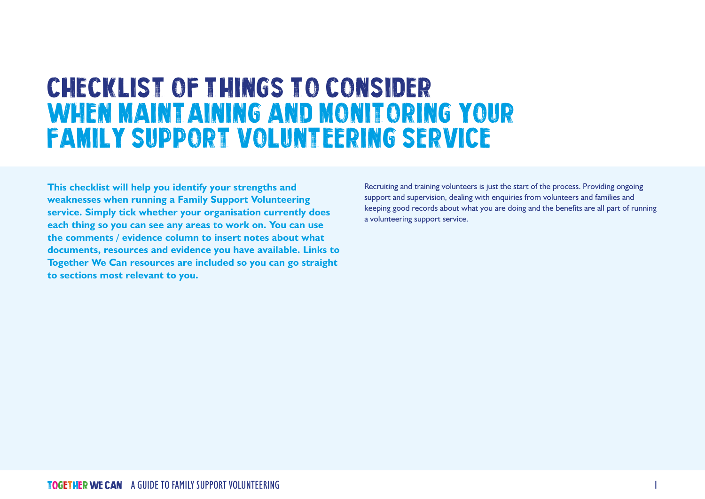## CHECKLIST OF THINGS TO CONSIDER WHEN MAINT AINING AND MONITORING YOUR FAMILY SUPPORT VOLUNTEERING SERVICE

**This checklist will help you identify your strengths and weaknesses when running a Family Support Volunteering service. Simply tick whether your organisation currently does each thing so you can see any areas to work on. You can use the comments / evidence column to insert notes about what documents, resources and evidence you have available. Links to Together We Can resources are included so you can go straight to sections most relevant to you.**

Recruiting and training volunteers is just the start of the process. Providing ongoing support and supervision, dealing with enquiries from volunteers and families and keeping good records about what you are doing and the benefits are all part of running a volunteering support service.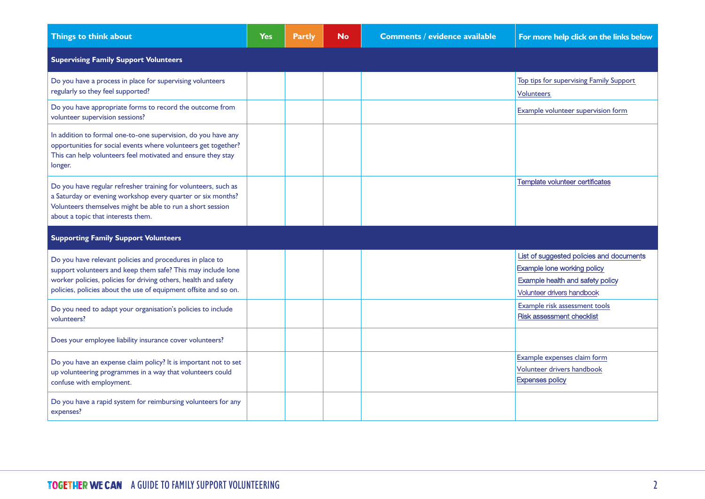| Things to think about                                                                                                                                                                                                                                           | Yes | <b>Partly</b> | <b>No</b> | <b>Comments / evidence available</b> | For more help click on the links below                                                                                                    |
|-----------------------------------------------------------------------------------------------------------------------------------------------------------------------------------------------------------------------------------------------------------------|-----|---------------|-----------|--------------------------------------|-------------------------------------------------------------------------------------------------------------------------------------------|
| <b>Supervising Family Support Volunteers</b>                                                                                                                                                                                                                    |     |               |           |                                      |                                                                                                                                           |
| Do you have a process in place for supervising volunteers<br>regularly so they feel supported?                                                                                                                                                                  |     |               |           |                                      | Top tips for supervising Family Support<br><b>Volunteers</b>                                                                              |
| Do you have appropriate forms to record the outcome from<br>volunteer supervision sessions?                                                                                                                                                                     |     |               |           |                                      | Example volunteer supervision form                                                                                                        |
| In addition to formal one-to-one supervision, do you have any<br>opportunities for social events where volunteers get together?<br>This can help volunteers feel motivated and ensure they stay<br>longer.                                                      |     |               |           |                                      |                                                                                                                                           |
| Do you have regular refresher training for volunteers, such as<br>a Saturday or evening workshop every quarter or six months?<br>Volunteers themselves might be able to run a short session<br>about a topic that interests them.                               |     |               |           |                                      | Template volunteer certificates                                                                                                           |
| <b>Supporting Family Support Volunteers</b>                                                                                                                                                                                                                     |     |               |           |                                      |                                                                                                                                           |
| Do you have relevant policies and procedures in place to<br>support volunteers and keep them safe? This may include lone<br>worker policies, policies for driving others, health and safety<br>policies, policies about the use of equipment offsite and so on. |     |               |           |                                      | List of suggested policies and documents<br>Example lone working policy<br>Example health and safety policy<br>Volunteer drivers handbook |
| Do you need to adapt your organisation's policies to include<br>volunteers?                                                                                                                                                                                     |     |               |           |                                      | Example risk assessment tools<br>Risk assessment checklist                                                                                |
| Does your employee liability insurance cover volunteers?                                                                                                                                                                                                        |     |               |           |                                      |                                                                                                                                           |
| Do you have an expense claim policy? It is important not to set<br>up volunteering programmes in a way that volunteers could<br>confuse with employment.                                                                                                        |     |               |           |                                      | Example expenses claim form<br>Volunteer drivers handbook<br><b>Expenses policy</b>                                                       |
| Do you have a rapid system for reimbursing volunteers for any<br>expenses?                                                                                                                                                                                      |     |               |           |                                      |                                                                                                                                           |